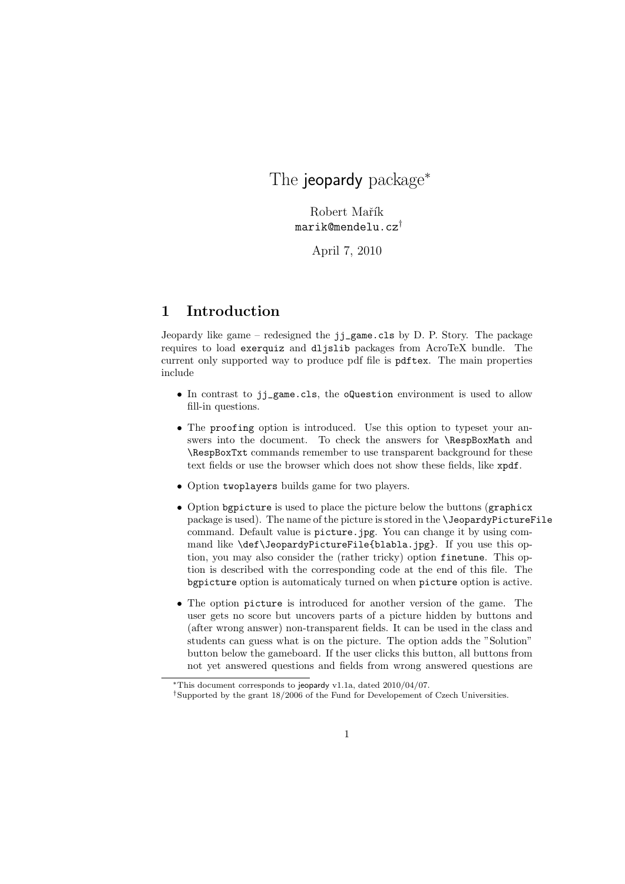## The jeopardy package<sup>\*</sup>

Robert Mařík marik@mendelu.cz†

April 7, 2010

## 1 Introduction

Jeopardy like game – redesigned the jj\_game.cls by D. P. Story. The package requires to load exerquiz and dljslib packages from AcroTeX bundle. The current only supported way to produce pdf file is pdftex. The main properties include

- In contrast to jj\_game.cls, the oQuestion environment is used to allow fill-in questions.
- The proofing option is introduced. Use this option to typeset your answers into the document. To check the answers for \RespBoxMath and \RespBoxTxt commands remember to use transparent background for these text fields or use the browser which does not show these fields, like xpdf.
- Option twoplayers builds game for two players.
- Option bgpicture is used to place the picture below the buttons (graphicx package is used). The name of the picture is stored in the \JeopardyPictureFile command. Default value is picture.jpg. You can change it by using command like \def\JeopardyPictureFile{blabla.jpg}. If you use this option, you may also consider the (rather tricky) option finetune. This option is described with the corresponding code at the end of this file. The bgpicture option is automaticaly turned on when picture option is active.
- The option picture is introduced for another version of the game. The user gets no score but uncovers parts of a picture hidden by buttons and (after wrong answer) non-transparent fields. It can be used in the class and students can guess what is on the picture. The option adds the "Solution" button below the gameboard. If the user clicks this button, all buttons from not yet answered questions and fields from wrong answered questions are

<sup>∗</sup>This document corresponds to jeopardy v1.1a, dated 2010/04/07.

<sup>†</sup>Supported by the grant 18/2006 of the Fund for Developement of Czech Universities.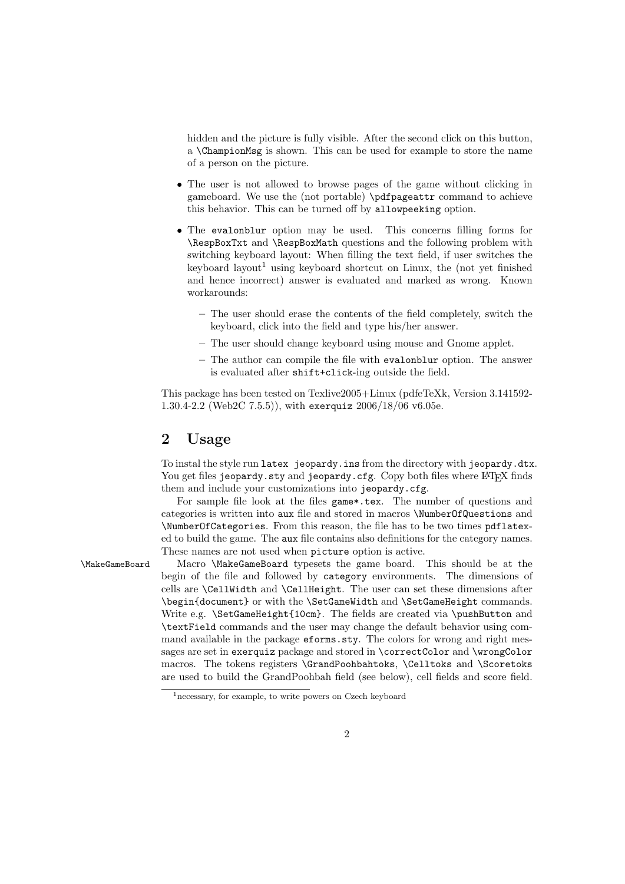hidden and the picture is fully visible. After the second click on this button, a \ChampionMsg is shown. This can be used for example to store the name of a person on the picture.

- The user is not allowed to browse pages of the game without clicking in gameboard. We use the (not portable) \pdfpageattr command to achieve this behavior. This can be turned off by allowpeeking option.
- The evalonblur option may be used. This concerns filling forms for \RespBoxTxt and \RespBoxMath questions and the following problem with switching keyboard layout: When filling the text field, if user switches the keyboard layout<sup>1</sup> using keyboard shortcut on Linux, the (not yet finished and hence incorrect) answer is evaluated and marked as wrong. Known workarounds:
	- The user should erase the contents of the field completely, switch the keyboard, click into the field and type his/her answer.
	- The user should change keyboard using mouse and Gnome applet.
	- The author can compile the file with evalonblur option. The answer is evaluated after shift+click-ing outside the field.

This package has been tested on Texlive2005+Linux (pdfeTeXk, Version 3.141592- 1.30.4-2.2 (Web2C 7.5.5)), with exerquiz 2006/18/06 v6.05e.

## 2 Usage

To instal the style run latex jeopardy.ins from the directory with jeopardy.dtx. You get files jeopardy.sty and jeopardy.cfg. Copy both files where LATEX finds them and include your customizations into jeopardy.cfg.

For sample file look at the files game\*.tex. The number of questions and categories is written into aux file and stored in macros \NumberOfQuestions and \NumberOfCategories. From this reason, the file has to be two times pdflatexed to build the game. The aux file contains also definitions for the category names. These names are not used when picture option is active.

\MakeGameBoard Macro \MakeGameBoard typesets the game board. This should be at the begin of the file and followed by category environments. The dimensions of cells are \CellWidth and \CellHeight. The user can set these dimensions after \begin{document} or with the \SetGameWidth and \SetGameHeight commands. Write e.g. \SetGameHeight{10cm}. The fields are created via \pushButton and \textField commands and the user may change the default behavior using command available in the package **eforms**, sty. The colors for wrong and right messages are set in exerquiz package and stored in \correctColor and \wrongColor macros. The tokens registers \GrandPoohbahtoks, \Celltoks and \Scoretoks are used to build the GrandPoohbah field (see below), cell fields and score field.

<sup>&</sup>lt;sup>1</sup> necessary, for example, to write powers on Czech keyboard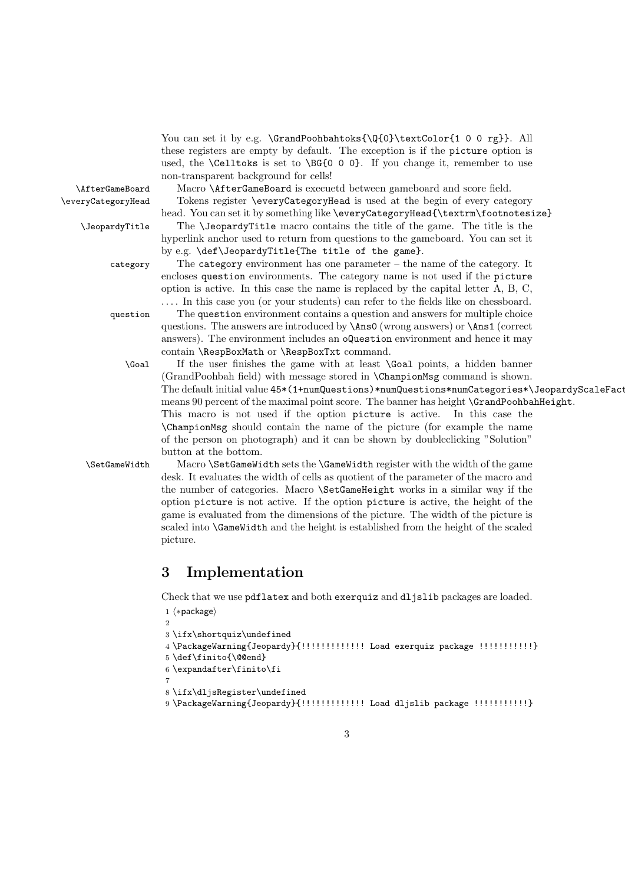You can set it by e.g. \GrandPoohbahtoks{\Q{0}\textColor{1 0 0 rg}}. All these registers are empty by default. The exception is if the picture option is used, the  $\C{ellts}$  is set to  $\BG{0 0 0}$ . If you change it, remember to use non-transparent background for cells!

\AfterGameBoard Macro \AfterGameBoard is execuetd between gameboard and score field. \everyCategoryHead Tokens register \everyCategoryHead is used at the begin of every category

head. You can set it by something like \everyCategoryHead{\textrm\footnotesize} \JeopardyTitle The \JeopardyTitle macro contains the title of the game. The title is the hyperlink anchor used to return from questions to the gameboard. You can set it by e.g. \def\JeopardyTitle{The title of the game}.

category The category environment has one parameter – the name of the category. It encloses question environments. The category name is not used if the picture option is active. In this case the name is replaced by the capital letter A, B, C, . . . . In this case you (or your students) can refer to the fields like on chessboard.

question The question environment contains a question and answers for multiple choice questions. The answers are introduced by \Ans0 (wrong answers) or \Ans1 (correct answers). The environment includes an oQuestion environment and hence it may contain \RespBoxMath or \RespBoxTxt command.

\Goal If the user finishes the game with at least \Goal points, a hidden banner (GrandPoohbah field) with message stored in \ChampionMsg command is shown. The default initial value 45\*(1+numQuestions)\*numQuestions\*numCategories\*\JeopardyScaleFactor means 90 percent of the maximal point score. The banner has height \GrandPoohbahHeight. This macro is not used if the option picture is active. In this case the \ChampionMsg should contain the name of the picture (for example the name of the person on photograph) and it can be shown by doubleclicking "Solution" button at the bottom.

\SetGameWidth Macro \SetGameWidth sets the \GameWidth register with the width of the game desk. It evaluates the width of cells as quotient of the parameter of the macro and the number of categories. Macro \SetGameHeight works in a similar way if the option picture is not active. If the option picture is active, the height of the game is evaluated from the dimensions of the picture. The width of the picture is scaled into \GameWidth and the height is established from the height of the scaled picture.

## 3 Implementation

Check that we use pdflatex and both exerquiz and dljslib packages are loaded.

```
1 \langle *package \rangle\overline{2}3 \ifx\shortquiz\undefined
4 \PackageWarning{Jeopardy}{!!!!!!!!!!!!! Load exerquiz package !!!!!!!!!!!}
5 \def\finito{\@@end}
6 \expandafter\finito\fi
7
8 \ifx\dljsRegister\undefined
```
9 \PackageWarning{Jeopardy}{!!!!!!!!!!!!! Load dljslib package !!!!!!!!!!!}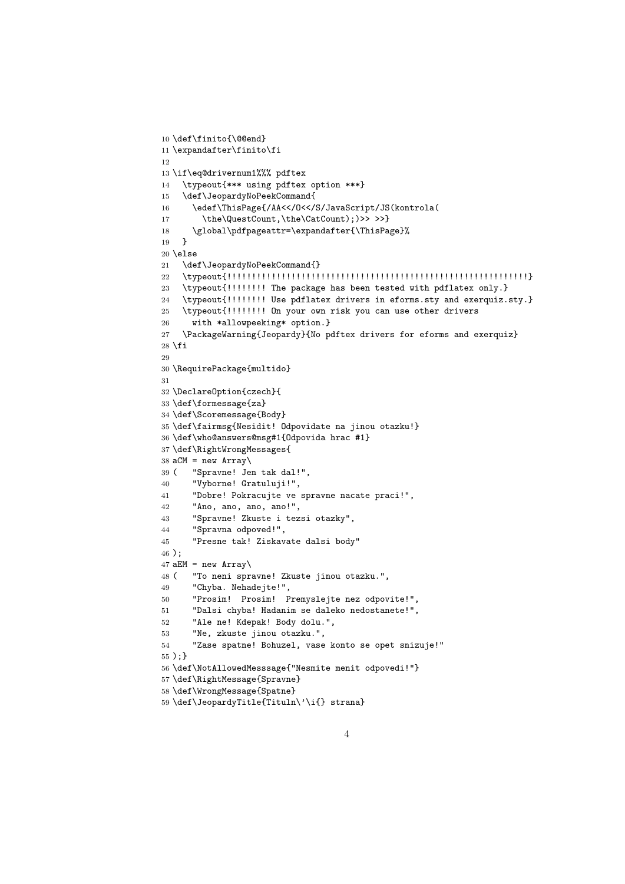```
10 \def\finito{\@@end}
11 \expandafter\finito\fi
12
13 \if\eq@drivernum1%%% pdftex
14 \typeout{*** using pdftex option ***}
15 \def\JeopardyNoPeekCommand{
16 \edef\ThisPage{/AA<</O<</S/JavaScript/JS(kontrola(
17 \the\QuestCount,\the\CatCount);)>> >>}
18 \global\pdfpageattr=\expandafter{\ThisPage}%<br>19 \
19 }
20 \else
21 \def\JeopardyNoPeekCommand{}
22 \typeout{!!!!!!!!!!!!!!!!!!!!!!!!!!!!!!!!!!!!!!!!!!!!!!!!!!!!!!!!!!!!!}
23 \typeout{!!!!!!!! The package has been tested with pdflatex only.}
24 \typeout{!!!!!!!! Use pdflatex drivers in eforms.sty and exerquiz.sty.}
25 \typeout{!!!!!!!! On your own risk you can use other drivers
26 with *allowpeeking* option.}
27 \PackageWarning{Jeopardy}{No pdftex drivers for eforms and exerquiz}
28 \fi
29
30 \RequirePackage{multido}
31
32 \DeclareOption{czech}{
33 \def\formessage{za}
34 \def\Scoremessage{Body}
35 \def\fairmsg{Nesidit! Odpovidate na jinou otazku!}
36 \def\who@answers@msg#1{Odpovida hrac #1}
37 \def\RightWrongMessages{
38 aCM = new Array\39 ( "Spravne! Jen tak dal!",
40 "Vyborne! Gratuluji!",
41 "Dobre! Pokracujte ve spravne nacate praci!",
42 "Ano, ano, ano, ano!",
43 "Spravne! Zkuste i tezsi otazky",
44 "Spravna odpoved!",
45 "Presne tak! Ziskavate dalsi body"
46 );
47 aEM = new Array\
48 ( "To neni spravne! Zkuste jinou otazku.",
49 "Chyba. Nehadejte!",
50 "Prosim! Prosim! Premyslejte nez odpovite!",
51 "Dalsi chyba! Hadanim se daleko nedostanete!",
52 "Ale ne! Kdepak! Body dolu.",
53 "Ne, zkuste jinou otazku.",
54 "Zase spatne! Bohuzel, vase konto se opet snizuje!"
55 );}
56 \def\NotAllowedMesssage{"Nesmite menit odpovedi!"}
57 \def\RightMessage{Spravne}
58 \def\WrongMessage{Spatne}
59 \def\JeopardyTitle{Tituln\'\i{} strana}
```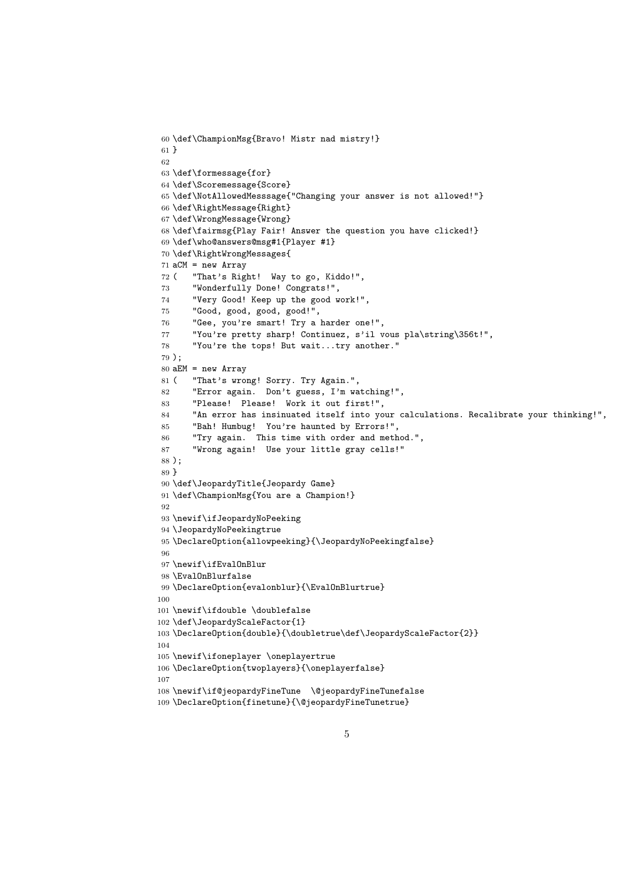```
60 \def\ChampionMsg{Bravo! Mistr nad mistry!}
61 }
62
63 \def\formessage{for}
64 \def\Scoremessage{Score}
65 \def\NotAllowedMesssage{"Changing your answer is not allowed!"}
66 \def\RightMessage{Right}
67 \def\WrongMessage{Wrong}
68 \def\fairmsg{Play Fair! Answer the question you have clicked!}
69 \def\who@answers@msg#1{Player #1}
70 \def\RightWrongMessages{
71 aCM = new Array
72 ( "That's Right! Way to go, Kiddo!",
73 "Wonderfully Done! Congrats!",
74 "Very Good! Keep up the good work!",
75 "Good, good, good, good!",
76 "Gee, you're smart! Try a harder one!",
77 "You're pretty sharp! Continuez, s'il vous pla\string\356t!",
78 "You're the tops! But wait...try another."
79 );
80 aEM = new Array
81 ( "That's wrong! Sorry. Try Again.",
82 "Error again. Don't guess, I'm watching!",
83 "Please! Please! Work it out first!",
84 "An error has insinuated itself into your calculations. Recalibrate your thinking!",
85 "Bah! Humbug! You're haunted by Errors!",
86 "Try again. This time with order and method.",
87 "Wrong again! Use your little gray cells!"
88 );
89 }
90 \def\JeopardyTitle{Jeopardy Game}
91 \def\ChampionMsg{You are a Champion!}
92
93 \newif\ifJeopardyNoPeeking
94 \JeopardyNoPeekingtrue
95 \DeclareOption{allowpeeking}{\JeopardyNoPeekingfalse}
96
97 \newif\ifEvalOnBlur
98 \EvalOnBlurfalse
99 \DeclareOption{evalonblur}{\EvalOnBlurtrue}
100
101 \newif\ifdouble \doublefalse
102 \def\JeopardyScaleFactor{1}
103 \DeclareOption{double}{\doubletrue\def\JeopardyScaleFactor{2}}
104
105 \newif\ifoneplayer \oneplayertrue
106 \DeclareOption{twoplayers}{\oneplayerfalse}
107
108 \newif\if@jeopardyFineTune \@jeopardyFineTunefalse
109 \DeclareOption{finetune}{\@jeopardyFineTunetrue}
```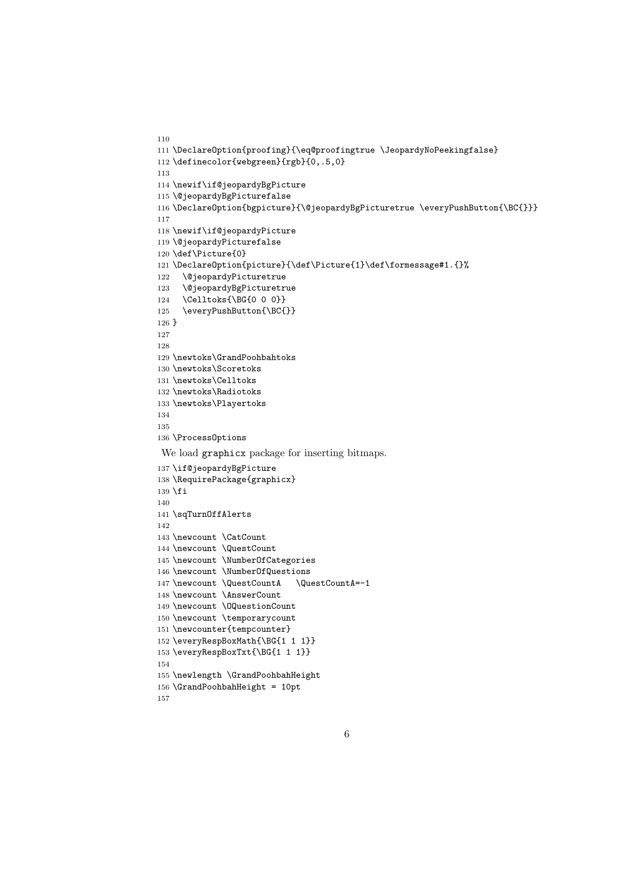```
110
111 \DeclareOption{proofing}{\eq@proofingtrue \JeopardyNoPeekingfalse}
112 \definecolor{webgreen}{rgb}{0,.5,0}
113
114 \newif\if@jeopardyBgPicture
115 \@jeopardyBgPicturefalse
116 \DeclareOption{bgpicture}{\@jeopardyBgPicturetrue \everyPushButton{\BC{}}}
117
118 \newif\if@jeopardyPicture
119 \@jeopardyPicturefalse
120 \def\Picture{0}
121 \DeclareOption{picture}{\def\Picture{1}\def\formessage#1.{}%
122 \@jeopardyPicturetrue
123 \@jeopardyBgPicturetrue
124 \Celltoks{\BG{0 0 0}}
125 \everyPushButton{\BC{}}
126 }
127
128
129 \newtoks\GrandPoohbahtoks
130 \newtoks\Scoretoks
131 \newtoks\Celltoks
132 \newtoks\Radiotoks
133 \newtoks\Playertoks
134
135
136 \ProcessOptions
We load graphicx package for inserting bitmaps.
137 \if@jeopardyBgPicture
138 \RequirePackage{graphicx}
139 \fi
140
141 \sqTurnOffAlerts
142
143 \newcount \CatCount
144 \newcount \QuestCount
145 \newcount \NumberOfCategories
146 \newcount \NumberOfQuestions
147 \newcount \QuestCountA \QuestCountA=-1
148 \newcount \AnswerCount
149 \newcount \OQuestionCount
150 \newcount \temporarycount
151 \newcounter{tempcounter}
152 \everyRespBoxMath{\BG{1 1 1}}
153 \everyRespBoxTxt{\BG{1 1 1}}
154
155 \newlength \GrandPoohbahHeight
156 \GrandPoohbahHeight = 10pt
```

```
157
```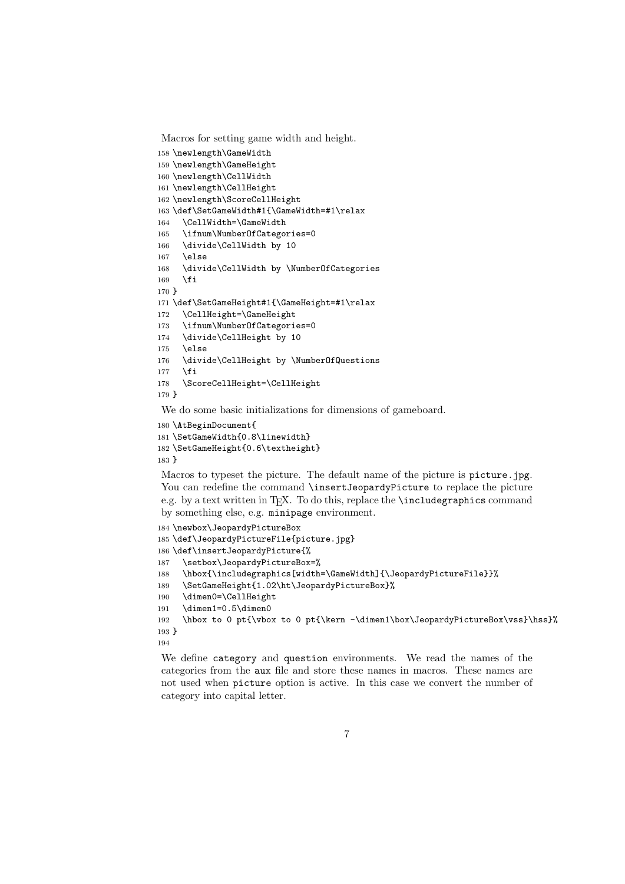Macros for setting game width and height.

```
158 \newlength\GameWidth
159 \newlength\GameHeight
160 \newlength\CellWidth
161 \newlength\CellHeight
162 \newlength\ScoreCellHeight
163 \def\SetGameWidth#1{\GameWidth=#1\relax
164 \CellWidth=\GameWidth
165 \ifnum\NumberOfCategories=0
166 \divide\CellWidth by 10
167 \else
168 \divide\CellWidth by \NumberOfCategories
169 \overrightarrow{fi}170 }
171 \def\SetGameHeight#1{\GameHeight=#1\relax
172 \CellHeight=\GameHeight
173 \ifnum\NumberOfCategories=0
174 \divide\CellHeight by 10
175 \else
176 \divide\CellHeight by \NumberOfQuestions
177 \fi
178 \ScoreCellHeight=\CellHeight
179 }
```
We do some basic initializations for dimensions of gameboard.

```
180 \AtBeginDocument{
```

```
181 \SetGameWidth{0.8\linewidth}
182 \SetGameHeight{0.6\textheight}
183 }
```
Macros to typeset the picture. The default name of the picture is picture.jpg. You can redefine the command \insertJeopardyPicture to replace the picture e.g. by a text written in T<sub>E</sub>X. To do this, replace the  $\infty$  include graphics command by something else, e.g. minipage environment.

```
184 \newbox\JeopardyPictureBox
185 \def\JeopardyPictureFile{picture.jpg}
186 \def\insertJeopardyPicture{%
187 \setbox\JeopardyPictureBox=%
188 \hbox{\includegraphics[width=\GameWidth]{\JeopardyPictureFile}}%
189 \SetGameHeight{1.02\ht\JeopardyPictureBox}%
190 \dimen0=\CellHeight
191 \dimen1=0.5\dimen0
192 \hbox to 0 pt{\vbox to 0 pt{\kern -\dimen1\box\JeopardyPictureBox\vss}\hss}%
193 }
194
```
We define category and question environments. We read the names of the categories from the aux file and store these names in macros. These names are not used when picture option is active. In this case we convert the number of category into capital letter.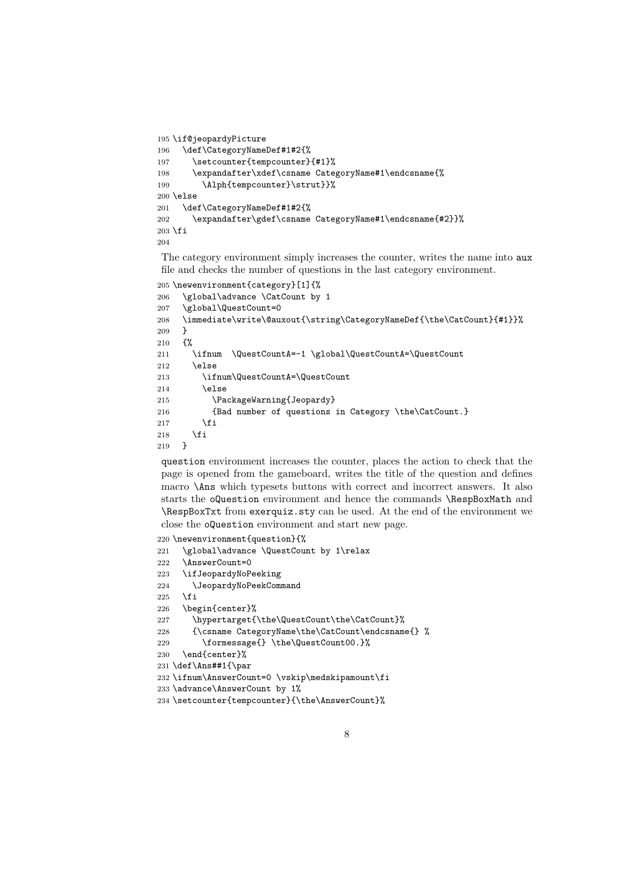```
195 \if@jeopardyPicture
196 \def\CategoryNameDef#1#2{%
197 \setcounter{tempcounter}{#1}%
198 \expandafter\xdef\csname CategoryName#1\endcsname{%
199 \Alph{tempcounter}\strut}}%
200 \else
201 \def\CategoryNameDef#1#2{%
202 \expandafter\gdef\csname CategoryName#1\endcsname{#2}}%
203 \text{ } \text{ } \text{ } 261204
```
The category environment simply increases the counter, writes the name into aux file and checks the number of questions in the last category environment.

```
205 \newenvironment{category}[1]{%
206 \global\advance \CatCount by 1
207 \global\QuestCount=0
208 \immediate\write\@auxout{\string\CategoryNameDef{\the\CatCount}{#1}}%
209 - 3210 \frac{192}{20}211 \ifnum \QuestCountA=-1 \global\QuestCountA=\QuestCount
212 \else
213 \ifnum\QuestCountA=\QuestCount
214 \else
215 \PackageWarning{Jeopardy}
216 {Bad number of questions in Category \the\CatCount.}
217 \foralli
218 \setminus fi<br>219 }
219
```
question environment increases the counter, places the action to check that the page is opened from the gameboard, writes the title of the question and defines macro \Ans which typesets buttons with correct and incorrect answers. It also starts the oQuestion environment and hence the commands \RespBoxMath and \RespBoxTxt from exerquiz.sty can be used. At the end of the environment we close the oQuestion environment and start new page.

```
220 \newenvironment{question}{%
221 \global\advance \QuestCount by 1\relax
222 \AnswerCount=0
223 \ifJeopardyNoPeeking
224 \JeopardyNoPeekCommand
225 \fi
226 \begin{center}%
227 \hypertarget{\the\QuestCount\the\CatCount}%
228 {\csname CategoryName\the\CatCount\endcsname{} %
229 \formessage{} \the\QuestCount00.}%
230 \end{center}%
231 \def\Ans##1{\par
232 \ifnum\AnswerCount=0 \vskip\medskipamount\fi
233 \advance\AnswerCount by 1%
```

```
234 \setcounter{tempcounter}{\the\AnswerCount}%
```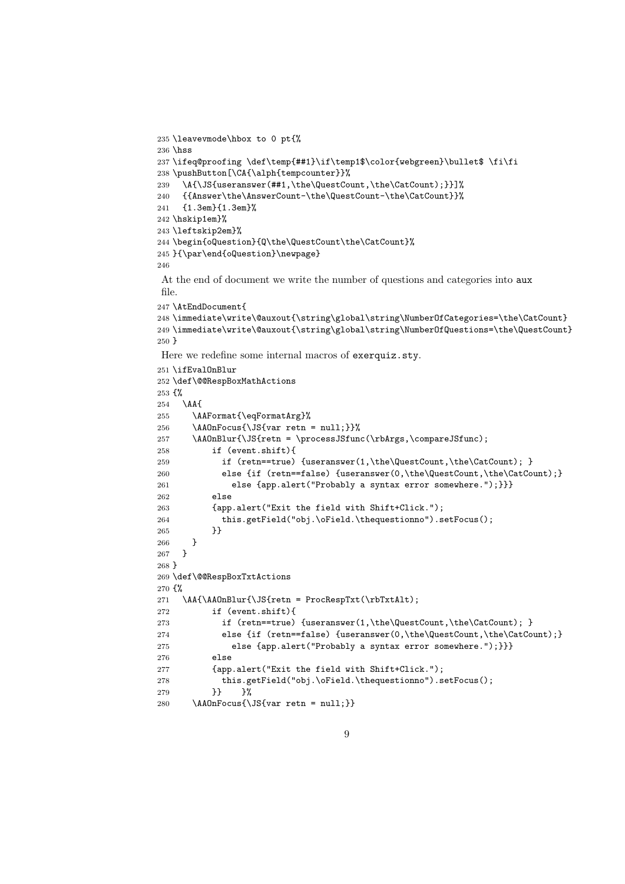```
235 \leavevmode\hbox to 0 pt{%
236 \hss
237 \ifeq@proofing \def\temp{##1}\if\temp1$\color{webgreen}\bullet$ \fi\fi
238 \pushButton[\CA{\alph{tempcounter}}%
239 \A{\JS{useranswer(##1,\the\QuestCount,\the\CatCount);}}]%
240 {{Answer\the\AnswerCount-\the\QuestCount-\the\CatCount}}%
241 {1.3em}{1.3em}%
242 \hskip1em}%
243 \leftskip2em}%
244 \begin{oQuestion}{Q\the\QuestCount\the\CatCount}%
245 }{\par\end{oQuestion}\newpage}
246
At the end of document we write the number of questions and categories into aux
file.
247 \AtEndDocument{
248 \immediate\write\@auxout{\string\global\string\NumberOfCategories=\the\CatCount}
249 \immediate\write\@auxout{\string\global\string\NumberOfQuestions=\the\QuestCount}
250 }
Here we redefine some internal macros of exerquiz.sty.
251 \ifEvalOnBlur
252 \def\@@RespBoxMathActions
253 {%
254 \AA{
255 \AAFormat{\eqFormatArg}%
256 \AAOnFocus{\JS{var retn = null;}}%
257 \AAOnBlur{\JS{retn = \processJSfunc(\rbArgs,\compareJSfunc);
258 if (event.shift){
259 if (retn==true) {useranswer(1,\the\QuestCount,\the\CatCount); }
260 else {if (retn==false) {useranswer(0,\the\QuestCount,\the\CatCount);}
261 else {app.alert("Probably a syntax error somewhere.");}}}
262 else
263 {app.alert("Exit the field with Shift+Click.");
264 this.getField("obj.\oField.\thequestionno").setFocus();
265 }
266 }
267 }
268 }
269 \def\@@RespBoxTxtActions
270 {%
271 \AA{\AAOnBlur{\JS{retn = ProcRespTxt(\rbTxtAlt);
272 if (event.shift){
273 if (retn==true) {useranswer(1,\the\QuestCount,\the\CatCount); }
274 else {if (retn==false) {useranswer(0,\the\QuestCount,\the\CatCount);}
275 else {app.alert("Probably a syntax error somewhere.");}}}
276 else
277 {app.alert("Exit the field with Shift+Click.");
278 this.getField("obj.\oField.\thequestionno").setFocus();
279 }} }%
280 \AAOnFocus{\JS{var retn = null;}}
```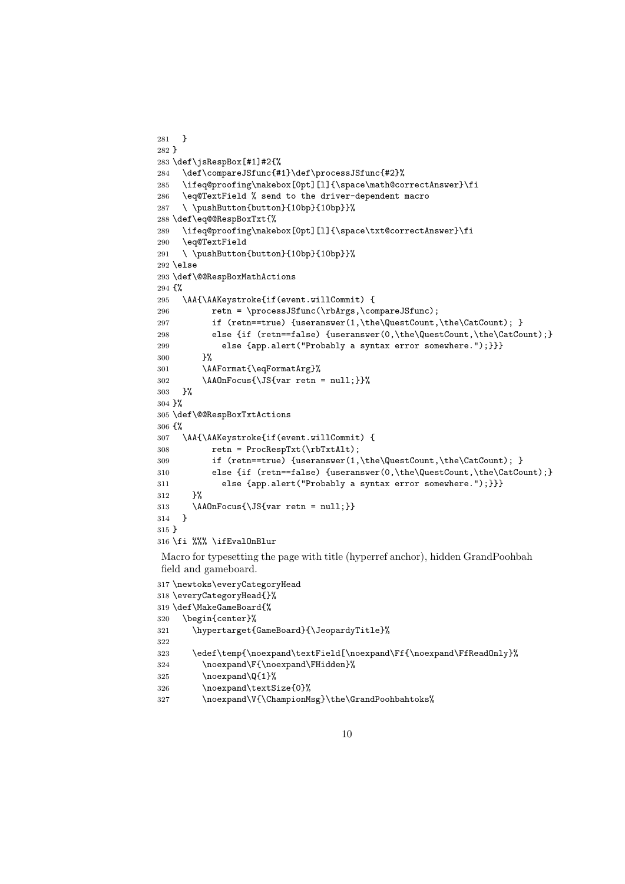```
281 }
282 }
283 \def\jsRespBox[#1]#2{%
284 \def\compareJSfunc{#1}\def\processJSfunc{#2}%
285 \ifeq@proofing\makebox[0pt][l]{\space\math@correctAnswer}\fi
286 \eq@TextField % send to the driver-dependent macro
287 \ \pushButton{button}{10bp}{10bp}}%
288 \def\eq@@RespBoxTxt{%
289 \ifeq@proofing\makebox[0pt][l]{\space\txt@correctAnswer}\fi
290 \eq@TextField
291 \ \pushButton{button}{10bp}{10bp}}%
292 \else
293 \def\@@RespBoxMathActions
294 \frac{1}{8}295 \AA{\AAKeystroke{if(event.willCommit) {
296 retn = \processJSfunc(\rbArgs,\compareJSfunc);
297 if (retn==true) {useranswer(1,\the\QuestCount,\the\CatCount); }
298 else {if (retn==false) {useranswer(0,\the\QuestCount,\the\CatCount);}
299 else {app.alert("Probably a syntax error somewhere.");}}}
300 }%
301 \AAFormat{\eqFormatArg}%
302 \AAOnFocus{\JS{var retn = null;}}%
303 }%
304 }%
305 \def\@@RespBoxTxtActions
306 {%
307 \AA{\AAKeystroke{if(event.willCommit) {
308 retn = ProcRespTxt(\rbTxtAlt);
309 if (retn==true) {useranswer(1,\the\QuestCount,\the\CatCount); }
310 else {if (retn==false) {useranswer(0,\the\QuestCount,\the\CatCount);}
311 else {app.alert("Probably a syntax error somewhere.");}}}
312 }%
313 \AAOnFocus{\JS{var retn = null;}}
314 }
315 }
316 \fi %%% \ifEvalOnBlur
Macro for typesetting the page with title (hyperref anchor), hidden GrandPoohbah
field and gameboard.
317 \newtoks\everyCategoryHead
318 \everyCategoryHead{}%
319 \def\MakeGameBoard{%
```

```
320 \begin{center}%
321 \hypertarget{GameBoard}{\JeopardyTitle}%
322
323 \edef\temp{\noexpand\textField[\noexpand\Ff{\noexpand\FfReadOnly}%
324 \noexpand\F{\noexpand\FHidden}%
325 \noexpand\Q{1}%
326 \noexpand\textSize{0}%
```

```
327 \vspace{-0.3cm} \noexpand\V{\Champ;inpionMsg}\the\GrandPoohbahtoks\%
```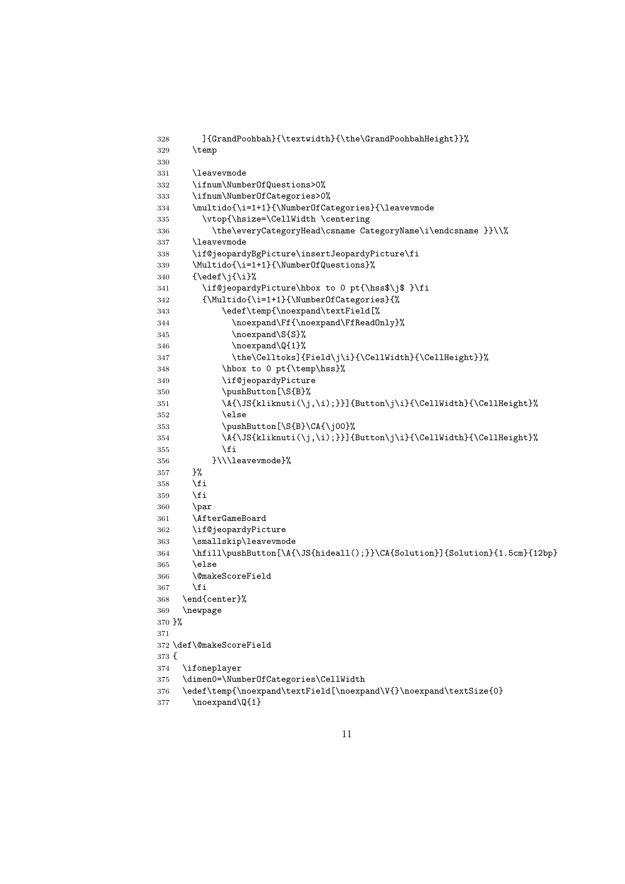```
328 ]{GrandPoohbah}{\textwidth}{\the\GrandPoohbahHeight}}%
329 \temp
330
331 \leavevmode
332 \ifnum\NumberOfQuestions>0%
333 \ifnum\NumberOfCategories>0%
334 \multido{\i=1+1}{\NumberOfCategories}{\leavevmode
335 \vtop{\hsize=\CellWidth \centering
336 \the\everyCategoryHead\csname CategoryName\i\endcsname }}\\%
337 \leavevmode
338 \if@jeopardyBgPicture\insertJeopardyPicture\fi
339 \Multido{\i=1+1}{\NumberOfQuestions}%
340 \quad {\text{\}^{\{i\}}341 \if@jeopardyPicture\hbox to 0 pt{\hss$\j$ }\fi
342 {\Multido{\i=1+1}{\NumberOfCategories}{%
343 \edef\temp{\noexpand\textField[%
344 \noexpand\Ff{\noexpand\FfReadOnly}%
345 \noexpand\S{S}%
346 \noexpand\Q{1}%
347 \the\Celltoks]{Field\j\i}{\CellWidth}{\CellHeight}}%
348 \hbox to 0 pt{\temp\hss}%
349 \if@jeopardyPicture
350 \pushButton[\S{B}%
351 \A{\JS{kliknuti(\j,\i);}}]{Button\j\i}{\CellWidth}{\CellHeight}%
352 \qquad \text{lelese}353 \pushButton[\S{B}\CA{\j00}%
354 \A{\JS{kliknuti(\j,\i);}}]{Button\j\i}{\CellWidth}{\CellHeight}%
355 \fi
356 }\\\leavevmode}%
357 }%
358 \fi
359 \fi
360 \par
361 \AfterGameBoard
362 \if@jeopardyPicture
363 \smallskip\leavevmode
364 \hfill\pushButton[\A{\JS{hideall();}}\CA{Solution}]{Solution}{1.5cm}{12bp}
365 \else
366 \@makeScoreField
367 \fi
368 \end{center}%
369 \newpage
370 }%
371
372 \def\@makeScoreField
373 {
374 \ifoneplayer
375 \dimen0=\NumberOfCategories\CellWidth
376 \edef\temp{\noexpand\textField[\noexpand\V{}\noexpand\textSize{0}
```

```
377 \noexpand\Q{1}
```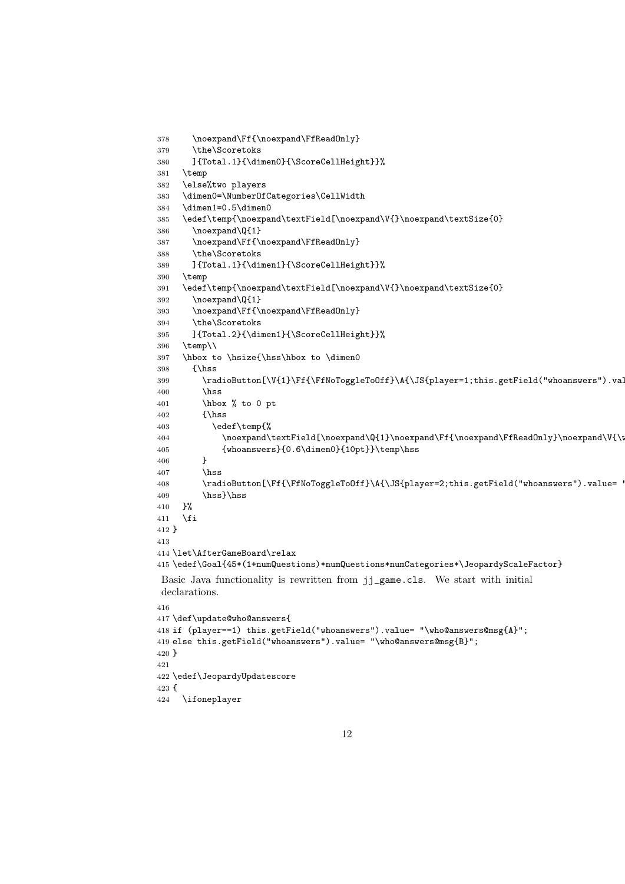```
378 \noexpand\Ff{\noexpand\FfReadOnly}
379 \the\Scoretoks
380 ]{Total.1}{\dimen0}{\ScoreCellHeight}}%
381 \temp
382 \else%two players
383 \dimen0=\NumberOfCategories\CellWidth
384 \dimen1=0.5\dimen0
385 \edef\temp{\noexpand\textField[\noexpand\V{}\noexpand\textSize{0}
386 \noexpand\Q{1}
387 \noexpand\Ff{\noexpand\FfReadOnly}
388 \the\Scoretoks
389 ]{Total.1}{\dimen1}{\ScoreCellHeight}}%
390 \temp
391 \edef\temp{\noexpand\textField[\noexpand\V{}\noexpand\textSize{0}
392 \noexpand\Q{1}
393 \noexpand\Ff{\noexpand\FfReadOnly}
394 \the\Scoretoks
395 ]{Total.2}{\dimen1}{\ScoreCellHeight}}%
396 \temp\\
397 \hbox to \hsize{\hss\hbox to \dimen0
398 {\hss
399 \r{radiobutton[\V{1}\Ff{\FfNoTogetherGoff}\A{\JSfplayer=1; this.getField("whoanswers").va!}400 \hss
401 \hbox % to 0 pt
402 {\hss
403 \edef\temp{%
404 \noexpand\textField[\noexpand\Q{1}\noexpand\Ff{\noexpand\FfReadOnly}\noexpand\V{\i
405 {whoanswers}{0.6\dimen0}{10pt}}\temp\hss
406 }
407 \hbox{hss}408 \radioButton[\Ff{\FfNoToggleToOff}\A{\JS{player=2;this.getField("whoanswers").value=
409 \hss}\hss
410 }%
411 \fi
412 }
413
414 \let\AfterGameBoard\relax
415 \edef\Goal{45*(1+numQuestions)*numQuestions*numCategories*\JeopardyScaleFactor}
Basic Java functionality is rewritten from jj_game.cls. We start with initial
declarations.
416
417 \def\update@who@answers{
418 if (player==1) this.getField("whoanswers").value= "\who@answers@msg{A}";
419 else this.getField("whoanswers").value= "\who@answers@msg{B}";
420 }
421
422 \edef\JeopardyUpdatescore
423 {
```

```
12
```
\ifoneplayer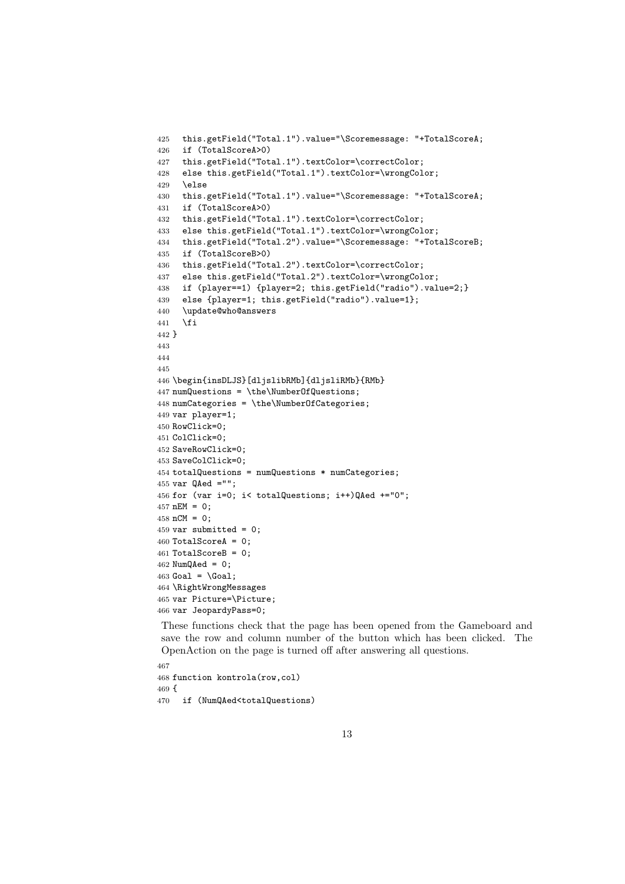```
425 this.getField("Total.1").value="\Scoremessage: "+TotalScoreA;
426 if (TotalScoreA>0)
427 this.getField("Total.1").textColor=\correctColor;
428 else this.getField("Total.1").textColor=\wrongColor;
429 \else
430 this.getField("Total.1").value="\Scoremessage: "+TotalScoreA;
431 if (TotalScoreA>0)
432 this.getField("Total.1").textColor=\correctColor;
433 else this.getField("Total.1").textColor=\wrongColor;
434 this.getField("Total.2").value="\Scoremessage: "+TotalScoreB;
435 if (TotalScoreB>0)
436 this.getField("Total.2").textColor=\correctColor;
437 else this.getField("Total.2").textColor=\wrongColor;
438 if (player==1) {player=2; this.getField("radio").value=2;}
439 else {player=1; this.getField("radio").value=1};
440 \update@who@answers
441 \fi
442 }
443
444
445
446 \begin{insDLJS}[dljslibRMb]{dljsliRMb}{RMb}
447 numQuestions = \the\NumberOfQuestions;
448 numCategories = \the\NumberOfCategories;
449 var player=1;
450 RowClick=0;
451 ColClick=0;
452 SaveRowClick=0;
453 SaveColClick=0;
454 totalQuestions = numQuestions * numCategories;
455 var QAed ="";
456 for (var i=0; i< totalQuestions; i++)QAed +="0";
457 nEM = 0;
458 nCM = 0;
459 var submitted = 0;
460 TotalScoreA = 0;
461 TotalScoreB = 0;
462 NumQAed = 0;
463 Goal = \Goal;
464 \RightWrongMessages
465 var Picture=\Picture;
466 var JeopardyPass=0;
```
These functions check that the page has been opened from the Gameboard and save the row and column number of the button which has been clicked. The OpenAction on the page is turned off after answering all questions.

```
467
468 function kontrola(row,col)
469 {
470 if (NumQAed<totalQuestions)
```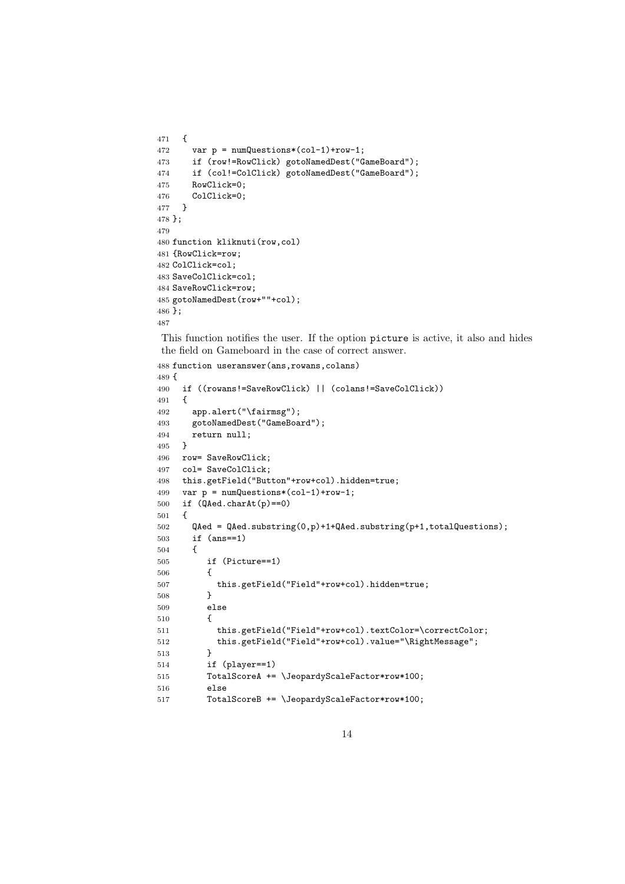```
471 {
472 var p = numQuestions*(col-1)+row-1;473 if (row!=RowClick) gotoNamedDest("GameBoard");
474 if (col!=ColClick) gotoNamedDest("GameBoard");
475 RowClick=0;
476 ColClick=0;
477 }
478 };
479
480 function kliknuti(row,col)
481 {RowClick=row;
482 ColClick=col;
483 SaveColClick=col;
484 SaveRowClick=row;
485 gotoNamedDest(row+""+col);
486 };
487
```
This function notifies the user. If the option picture is active, it also and hides the field on Gameboard in the case of correct answer.

```
488 function useranswer(ans,rowans,colans)
489 {
490 if ((rowans!=SaveRowClick) || (colans!=SaveColClick))
491 {
492 app.alert("\fairmsg");
493 gotoNamedDest("GameBoard");
494 return null;<br>495 \quad \}495496 row= SaveRowClick;
497 col= SaveColClick;
498 this.getField("Button"+row+col).hidden=true;
499 var p = numQuestions*(col-1)+row-1;
500 if (QAed.charAt(p)==0)
501 {
502 QAed = QAed.substring(0,p)+1+QAed.substring(p+1,totalQuestions);
503 if (ans==1)
504 {
505 if (Picture==1)
506 {
507 this.getField("Field"+row+col).hidden=true;
508 }
509 else
510 {
511 this.getField("Field"+row+col).textColor=\correctColor;
512 this.getField("Field"+row+col).value="\RightMessage";
513 }
514 if (player==1)
515 TotalScoreA += \JeopardyScaleFactor*row*100;
516 else
517 TotalScoreB += \JeopardyScaleFactor*row*100;
```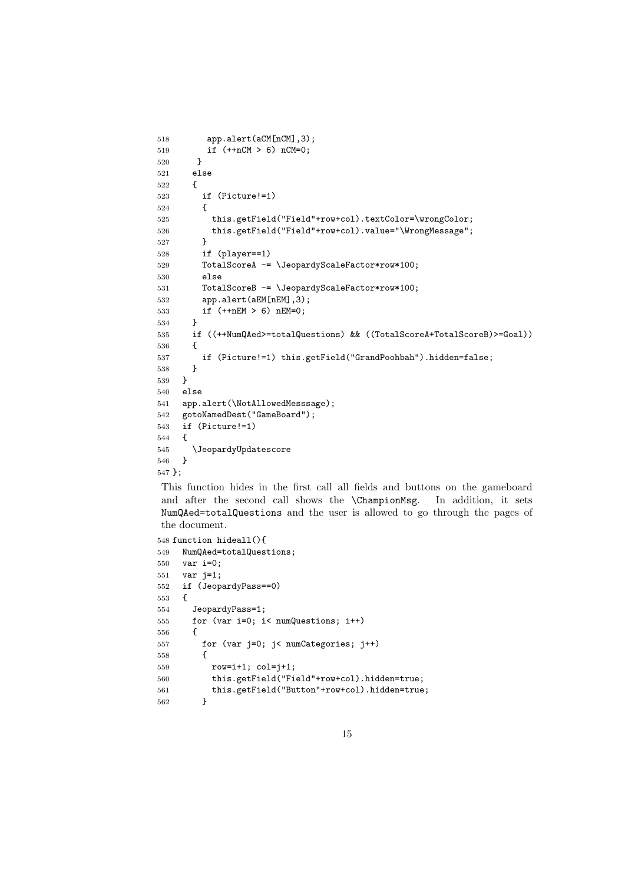```
518 app.alert(aCM[nCM],3);
519 if (++nCM > 6) nCM=0;
520 }
521 else
522 {
523 if (Picture!=1)
524 {
525 this.getField("Field"+row+col).textColor=\wrongColor;
526 this.getField("Field"+row+col).value="\WrongMessage";<br>527 }
527 }
528 if (player==1)
529 TotalScoreA -= \JeopardyScaleFactor*row*100;
530 else
531 TotalScoreB -= \JeopardyScaleFactor*row*100;
532 app.alert(aEM[nEM],3);
533 if (++nEM > 6) nEM=0;
534 }
535 if ((++NumQAed>=totalQuestions) && ((TotalScoreA+TotalScoreB)>=Goal))
536 {
537 if (Picture!=1) this.getField("GrandPoohbah").hidden=false;
538 }
539 }
540 else
541 app.alert(\NotAllowedMesssage);
542 gotoNamedDest("GameBoard");
543 if (Picture!=1)
544 {
545 \JeopardyUpdatescore
546 }
547 };
```
This function hides in the first call all fields and buttons on the gameboard and after the second call shows the \ChampionMsg. In addition, it sets NumQAed=totalQuestions and the user is allowed to go through the pages of the document.

```
548 function hideall(){
549 NumQAed=totalQuestions;
550 var i=0;
551 var j=1;
552 if (JeopardyPass==0)
553 {
554 JeopardyPass=1;
555 for (var i=0; i< numQuestions; i++)
556 {
557 for (var j=0; j< numCategories; j++)
558 {
559 row=i+1; col=j+1;
560 this.getField("Field"+row+col).hidden=true;
561 this.getField("Button"+row+col).hidden=true;
562 }
```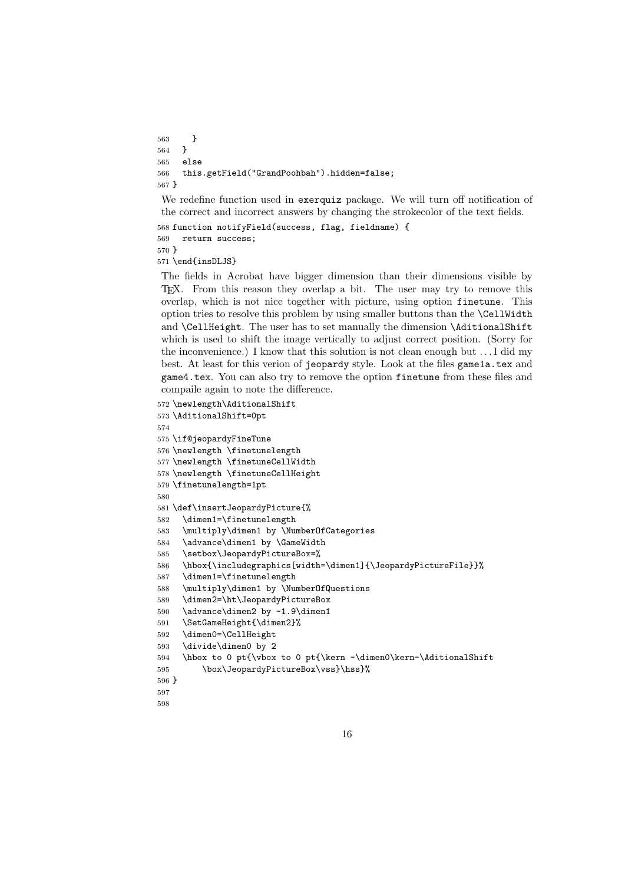```
563 }
564 }
565 else
566 this.getField("GrandPoohbah").hidden=false;
567 }
```
We redefine function used in exerquiz package. We will turn off notification of the correct and incorrect answers by changing the strokecolor of the text fields.

```
568 function notifyField(success, flag, fieldname) {
569 return success;
570 }
```
\end{insDLJS}

The fields in Acrobat have bigger dimension than their dimensions visible by T<sub>EX</sub>. From this reason they overlap a bit. The user may try to remove this overlap, which is not nice together with picture, using option finetune. This option tries to resolve this problem by using smaller buttons than the \CellWidth and \CellHeight. The user has to set manually the dimension \AditionalShift which is used to shift the image vertically to adjust correct position. (Sorry for the inconvenience.) I know that this solution is not clean enough but . . . I did my best. At least for this verion of jeopardy style. Look at the files game1a.tex and game4.tex. You can also try to remove the option finetune from these files and compaile again to note the difference.

```
572 \newlength\AditionalShift
573 \AditionalShift=0pt
574
575 \if@jeopardyFineTune
576 \newlength \finetunelength
577 \newlength \finetuneCellWidth
578 \newlength \finetuneCellHeight
579 \finetunelength=1pt
580
581 \def\insertJeopardyPicture{%
582 \dimen1=\finetunelength
583 \multiply\dimen1 by \NumberOfCategories
584 \advance\dimen1 by \GameWidth
585 \setbox\JeopardyPictureBox=%
586 \hbox{\includegraphics[width=\dimen1]{\JeopardyPictureFile}}%
587 \dimen1=\finetunelength
588 \multiply\dimen1 by \NumberOfQuestions
589 \dimen2=\ht\JeopardyPictureBox
590 \advance\dimen2 by -1.9\dimen1
591 \SetGameHeight{\dimen2}%
592 \dimen0=\CellHeight
593 \divide\dimen0 by 2
594 \hbox to 0 pt{\vbox to 0 pt{\kern -\dimen0\kern-\AditionalShift
595 \box\JeopardyPictureBox\vss}\hss}%
596 }
597
```

```
598
```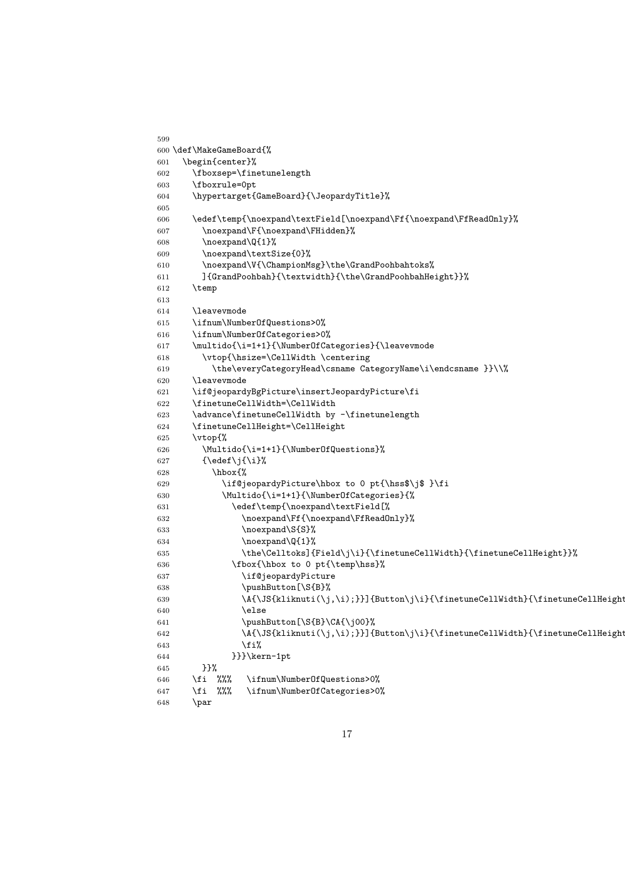```
599
600 \def\MakeGameBoard{%
601 \begin{center}%
602 \fboxsep=\finetunelength
603 \fboxrule=0pt
604 \hypertarget{GameBoard}{\JeopardyTitle}%
605
606 \edef\temp{\noexpand\textField[\noexpand\Ff{\noexpand\FfReadOnly}%
607 \noexpand\F{\noexpand\FHidden}%
608 \noexpand\Q{1}%
609 \noexpand\textSize{0}%
610 \noexpand\V{\ChampionMsg}\the\GrandPoohbahtoks%
611 ]{GrandPoohbah}{\textwidth}{\the\GrandPoohbahHeight}}%
612 \temp
613
614 \leavevmode
615 \ifnum\NumberOfQuestions>0%
616 \ifnum\NumberOfCategories>0%
617 \multido{\i=1+1}{\NumberOfCategories}{\leavevmode
618 \vtop{\hsize=\CellWidth \centering
619 \the\everyCategoryHead\csname CategoryName\i\endcsname }}\\%
620 \leavevmode
621 \if@jeopardyBgPicture\insertJeopardyPicture\fi
622 \finetuneCellWidth=\CellWidth
623 \advance\finetuneCellWidth by -\finetunelength
624 \finetuneCellHeight=\CellHeight
625 \vtop{%
626 \Multido{\i=1+1}{\NumberOfQuestions}%
627 {\edef\j{\i}%
628 \hbox{%
629 \if@jeopardyPicture\hbox to 0 pt{\hss$\j$ }\fi
630 \Multido{\i=1+1}{\NumberOfCategories}{%
631 \edef\temp{\noexpand\textField[%
632 \noexpand\Ff{\noexpand\FfReadOnly}%
633 \noexpand\S{S}%
634 \noexpand\Q{1}%
635 \the\Celltoks]{Field\j\i}{\finetuneCellWidth}{\finetuneCellHeight}}%
636 \text{\hbox{{\tt box}} to 0 pt{\temp\hspace{-1.5mm}{\tt cmb}}637 \if@jeopardyPicture
638 \pushButton[\S{B}%
639 \A{\\JS{kliknuti(\j,\i)}\}{Button\j\i}{\finetuneCellWidth}{\finetuneCellHeight}
640 \text{le}641 \pushButton[\S{B}\CA{\j00}%
\{\S_{\lambda}(x)\in\Lambda\}{\finetuneCellWidth}{\finetuneCellHeight} \end{\sight} \end{\sight} \end{\sight} \end{\sight} \end{\sight} \end{\sight} \end{\sight} \end{\sight} \end{\sight} \end{\sight} \end{\sight} \end{\sight} \end{\s
643 \qquad \qquad \text{if } \text{\AA}644 }}}\kern-1pt
645 }}%
646 \fi %%% \ifnum\NumberOfQuestions>0%
647 \fi %%% \ifnum\NumberOfCategories>0%
648 \par
```